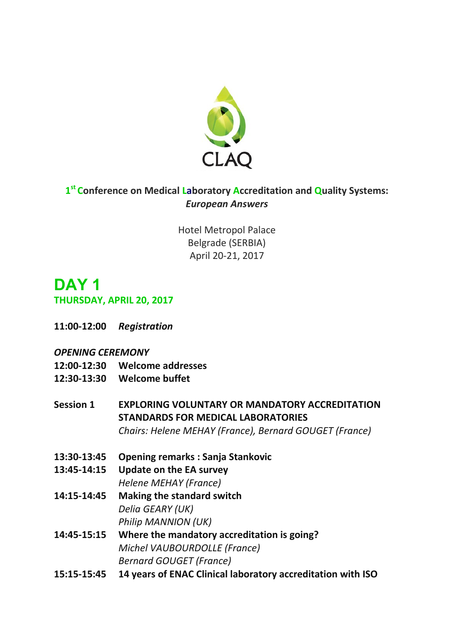

## **1 st Conference on Medical Laboratory Accreditation and Quality Systems:**  *European Answers*

Hotel Metropol Palace Belgrade (SERBIA) April 20-21, 2017

# **DAY 1**

#### **THURSDAY, APRIL 20, 2017**

**11:00-12:00** *Registration*

#### *OPENING CEREMONY*

- **12:00-12:30 Welcome addresses**
- **12:30-13:30 Welcome buffet**
- **Session 1 EXPLORING VOLUNTARY OR MANDATORY ACCREDITATION STANDARDS FOR MEDICAL LABORATORIES**  *Chairs: Helene MEHAY (France), Bernard GOUGET (France)*
- **13:30-13:45 Opening remarks : Sanja Stankovic**
- **13:45-14:15 Update on the EA survey**

*Helene MEHAY (France)*

- **14:15-14:45 Making the standard switch**  *Delia GEARY (UK) Philip MANNION (UK)*
- **14:45-15:15 Where the mandatory accreditation is going?** *Michel VAUBOURDOLLE (France) Bernard GOUGET (France)*
- **15:15-15:45 14 years of ENAC Clinical laboratory accreditation with ISO**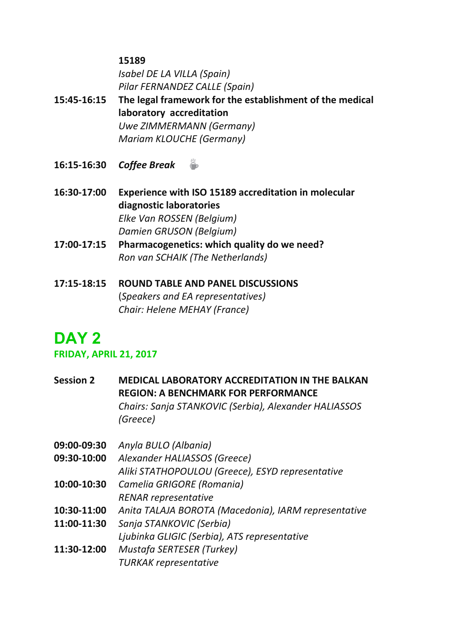#### **15189**

*Isabel DE LA VILLA (Spain) Pilar FERNANDEZ CALLE (Spain)*

- **15:45-16:15 The legal framework for the establishment of the medical laboratory accreditation** *Uwe ZIMMERMANN (Germany) Mariam KLOUCHE (Germany)*
- **16:15-16:30** *Coffee Break*
- **16:30-17:00 Experience with ISO 15189 accreditation in molecular diagnostic laboratories** *Elke Van ROSSEN (Belgium) Damien GRUSON (Belgium)*
- **17:00-17:15 Pharmacogenetics: which quality do we need?** *Ron van SCHAIK (The Netherlands)*
- **17:15-18:15 ROUND TABLE AND PANEL DISCUSSIONS**  (*Speakers and EA representatives) Chair: Helene MEHAY (France)*

# **DAY 2**

### **FRIDAY, APRIL 21, 2017**

**Session 2 MEDICAL LABORATORY ACCREDITATION IN THE BALKAN REGION: A BENCHMARK FOR PERFORMANCE** *Chairs: Sanja STANKOVIC (Serbia), Alexander HALIASSOS (Greece)*

- **09:00-09:30** *Anyla BULO (Albania)*
- **09:30-10:00** *Alexander HALIASSOS (Greece)* 
	- *Aliki STATHOPOULOU (Greece), ESYD representative*
- **10:00-10:30** *Camelia GRIGORE (Romania) RENAR representative*
- **10:30-11:00** *Anita TALAJA BOROTA (Macedonia), IARM representative*
- **11:00-11:30** *Sanja STANKOVIC (Serbia)*
	- *Ljubinka GLIGIC (Serbia), ATS representative*
- **11:30-12:00** *Mustafa SERTESER (Turkey) TURKAK representative*